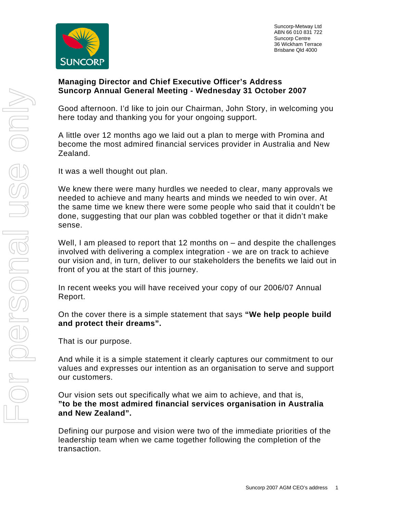

 Suncorp-Metway Ltd ABN 66 010 831 722 Suncorp Centre 36 Wickham Terrace Brisbane Qld 4000

### **Managing Director and Chief Executive Officer's Address Suncorp Annual General Meeting - Wednesday 31 October 2007**

Good afternoon. I'd like to join our Chairman, John Story, in welcoming you here today and thanking you for your ongoing support.

A little over 12 months ago we laid out a plan to merge with Promina and become the most admired financial services provider in Australia and New Zealand.

It was a well thought out plan.

We knew there were many hurdles we needed to clear, many approvals we needed to achieve and many hearts and minds we needed to win over. At the same time we knew there were some people who said that it couldn't be done, suggesting that our plan was cobbled together or that it didn't make sense.

Well, I am pleased to report that 12 months on – and despite the challenges involved with delivering a complex integration - we are on track to achieve our vision and, in turn, deliver to our stakeholders the benefits we laid out in front of you at the start of this journey.

In recent weeks you will have received your copy of our 2006/07 Annual Report.

On the cover there is a simple statement that says **"We help people build and protect their dreams".** 

That is our purpose.

And while it is a simple statement it clearly captures our commitment to our values and expresses our intention as an organisation to serve and support our customers.

Our vision sets out specifically what we aim to achieve, and that is, **"to be the most admired financial services organisation in Australia and New Zealand".** 

Defining our purpose and vision were two of the immediate priorities of the leadership team when we came together following the completion of the transaction.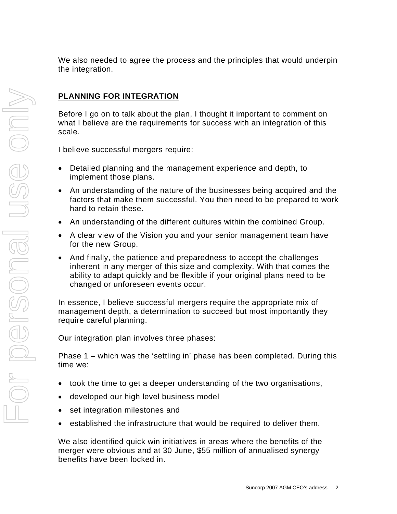We also needed to agree the process and the principles that would underpin the integration.

# **PLANNING FOR INTEGRATION**

Before I go on to talk about the plan, I thought it important to comment on what I believe are the requirements for success with an integration of this scale.

I believe successful mergers require:

- Detailed planning and the management experience and depth, to implement those plans.
- An understanding of the nature of the businesses being acquired and the factors that make them successful. You then need to be prepared to work hard to retain these.
- An understanding of the different cultures within the combined Group.
- A clear view of the Vision you and your senior management team have for the new Group.
- And finally, the patience and preparedness to accept the challenges inherent in any merger of this size and complexity. With that comes the ability to adapt quickly and be flexible if your original plans need to be changed or unforeseen events occur.

In essence, I believe successful mergers require the appropriate mix of management depth, a determination to succeed but most importantly they require careful planning.

Our integration plan involves three phases:

Phase 1 – which was the 'settling in' phase has been completed. During this time we:

- took the time to get a deeper understanding of the two organisations,
- developed our high level business model
- set integration milestones and
- established the infrastructure that would be required to deliver them.

We also identified quick win initiatives in areas where the benefits of the merger were obvious and at 30 June, \$55 million of annualised synergy benefits have been locked in.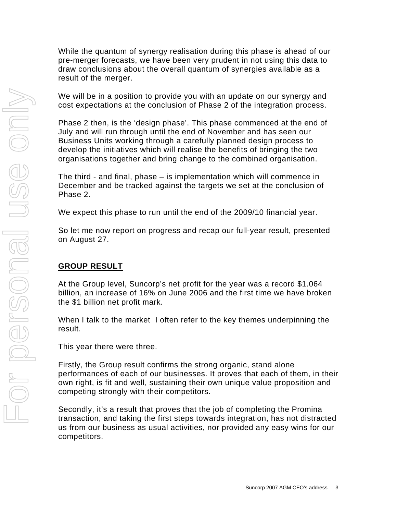While the quantum of synergy realisation during this phase is ahead of our pre-merger forecasts, we have been very prudent in not using this data to draw conclusions about the overall quantum of synergies available as a result of the merger.

We will be in a position to provide you with an update on our synergy and cost expectations at the conclusion of Phase 2 of the integration process.

Phase 2 then, is the 'design phase'. This phase commenced at the end of July and will run through until the end of November and has seen our Business Units working through a carefully planned design process to develop the initiatives which will realise the benefits of bringing the two organisations together and bring change to the combined organisation.

The third - and final, phase – is implementation which will commence in December and be tracked against the targets we set at the conclusion of Phase 2.

We expect this phase to run until the end of the 2009/10 financial year.

So let me now report on progress and recap our full-year result, presented on August 27.

## **GROUP RESULT**

At the Group level, Suncorp's net profit for the year was a record \$1.064 billion, an increase of 16% on June 2006 and the first time we have broken the \$1 billion net profit mark.

When I talk to the market I often refer to the key themes underpinning the result.

This year there were three.

Firstly, the Group result confirms the strong organic, stand alone performances of each of our businesses. It proves that each of them, in their own right, is fit and well, sustaining their own unique value proposition and competing strongly with their competitors.

Secondly, it's a result that proves that the job of completing the Promina transaction, and taking the first steps towards integration, has not distracted us from our business as usual activities, nor provided any easy wins for our competitors.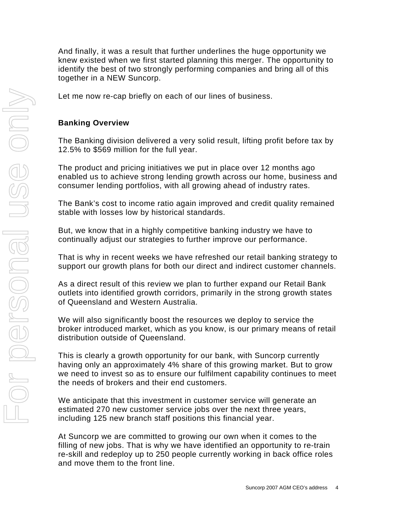And finally, it was a result that further underlines the huge opportunity we knew existed when we first started planning this merger. The opportunity to identify the best of two strongly performing companies and bring all of this together in a NEW Suncorp.

Let me now re-cap briefly on each of our lines of business.

### **Banking Overview**

The Banking division delivered a very solid result, lifting profit before tax by 12.5% to \$569 million for the full year.

The product and pricing initiatives we put in place over 12 months ago enabled us to achieve strong lending growth across our home, business and consumer lending portfolios, with all growing ahead of industry rates.

The Bank's cost to income ratio again improved and credit quality remained stable with losses low by historical standards.

But, we know that in a highly competitive banking industry we have to continually adjust our strategies to further improve our performance.

That is why in recent weeks we have refreshed our retail banking strategy to support our growth plans for both our direct and indirect customer channels.

As a direct result of this review we plan to further expand our Retail Bank outlets into identified growth corridors, primarily in the strong growth states of Queensland and Western Australia.

We will also significantly boost the resources we deploy to service the broker introduced market, which as you know, is our primary means of retail distribution outside of Queensland.

This is clearly a growth opportunity for our bank, with Suncorp currently having only an approximately 4% share of this growing market. But to grow we need to invest so as to ensure our fulfilment capability continues to meet the needs of brokers and their end customers.

We anticipate that this investment in customer service will generate an estimated 270 new customer service jobs over the next three years, including 125 new branch staff positions this financial year.

At Suncorp we are committed to growing our own when it comes to the filling of new jobs. That is why we have identified an opportunity to re-train re-skill and redeploy up to 250 people currently working in back office roles and move them to the front line.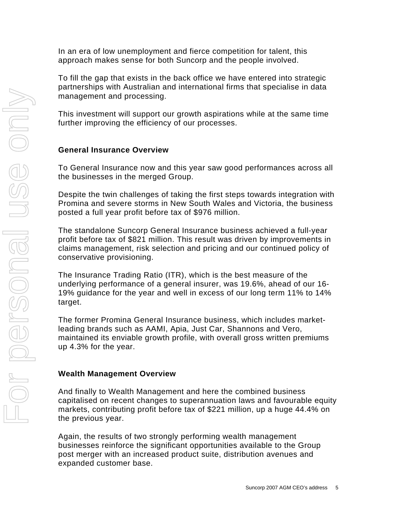In an era of low unemployment and fierce competition for talent, this approach makes sense for both Suncorp and the people involved.

To fill the gap that exists in the back office we have entered into strategic partnerships with Australian and international firms that specialise in data management and processing.

This investment will support our growth aspirations while at the same time further improving the efficiency of our processes.

# **General Insurance Overview**

To General Insurance now and this year saw good performances across all the businesses in the merged Group.

Despite the twin challenges of taking the first steps towards integration with Promina and severe storms in New South Wales and Victoria, the business posted a full year profit before tax of \$976 million.

The standalone Suncorp General Insurance business achieved a full-year profit before tax of \$821 million. This result was driven by improvements in claims management, risk selection and pricing and our continued policy of conservative provisioning.

The Insurance Trading Ratio (ITR), which is the best measure of the underlying performance of a general insurer, was 19.6%, ahead of our 16- 19% guidance for the year and well in excess of our long term 11% to 14% target.

The former Promina General Insurance business, which includes marketleading brands such as AAMI, Apia, Just Car, Shannons and Vero, maintained its enviable growth profile, with overall gross written premiums up 4.3% for the year.

## **Wealth Management Overview**

And finally to Wealth Management and here the combined business capitalised on recent changes to superannuation laws and favourable equity markets, contributing profit before tax of \$221 million, up a huge 44.4% on the previous year.

Again, the results of two strongly performing wealth management businesses reinforce the significant opportunities available to the Group post merger with an increased product suite, distribution avenues and expanded customer base.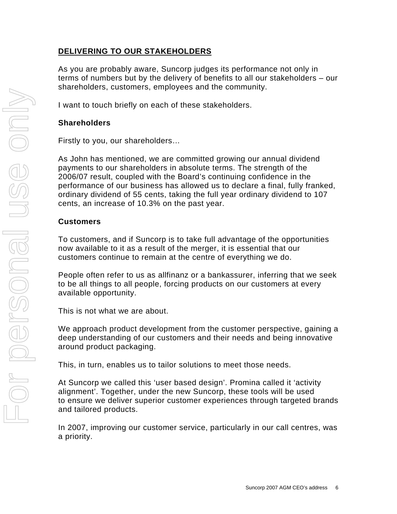## **DELIVERING TO OUR STAKEHOLDERS**

As you are probably aware, Suncorp judges its performance not only in terms of numbers but by the delivery of benefits to all our stakeholders – our shareholders, customers, employees and the community.

I want to touch briefly on each of these stakeholders.

#### **Shareholders**

Firstly to you, our shareholders…

As John has mentioned, we are committed growing our annual dividend payments to our shareholders in absolute terms. The strength of the 2006/07 result, coupled with the Board's continuing confidence in the performance of our business has allowed us to declare a final, fully franked, ordinary dividend of 55 cents, taking the full year ordinary dividend to 107 cents, an increase of 10.3% on the past year.

#### **Customers**

To customers, and if Suncorp is to take full advantage of the opportunities now available to it as a result of the merger, it is essential that our customers continue to remain at the centre of everything we do.

People often refer to us as allfinanz or a bankassurer, inferring that we seek to be all things to all people, forcing products on our customers at every available opportunity.

This is not what we are about.

We approach product development from the customer perspective, gaining a deep understanding of our customers and their needs and being innovative around product packaging.

This, in turn, enables us to tailor solutions to meet those needs.

At Suncorp we called this 'user based design'. Promina called it 'activity alignment'. Together, under the new Suncorp, these tools will be used to ensure we deliver superior customer experiences through targeted brands and tailored products.

In 2007, improving our customer service, particularly in our call centres, was a priority.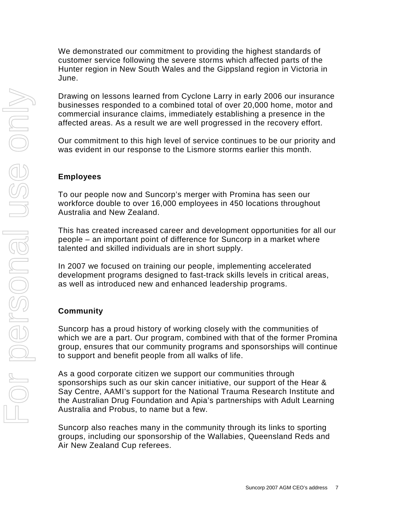We demonstrated our commitment to providing the highest standards of customer service following the severe storms which affected parts of the Hunter region in New South Wales and the Gippsland region in Victoria in June.

Drawing on lessons learned from Cyclone Larry in early 2006 our insurance businesses responded to a combined total of over 20,000 home, motor and commercial insurance claims, immediately establishing a presence in the affected areas. As a result we are well progressed in the recovery effort.

Our commitment to this high level of service continues to be our priority and was evident in our response to the Lismore storms earlier this month.

### **Employees**

To our people now and Suncorp's merger with Promina has seen our workforce double to over 16,000 employees in 450 locations throughout Australia and New Zealand.

This has created increased career and development opportunities for all our people – an important point of difference for Suncorp in a market where talented and skilled individuals are in short supply.

In 2007 we focused on training our people, implementing accelerated development programs designed to fast-track skills levels in critical areas, as well as introduced new and enhanced leadership programs.

## **Community**

Suncorp has a proud history of working closely with the communities of which we are a part. Our program, combined with that of the former Promina group, ensures that our community programs and sponsorships will continue to support and benefit people from all walks of life.

As a good corporate citizen we support our communities through sponsorships such as our skin cancer initiative, our support of the Hear & Say Centre, AAMI's support for the National Trauma Research Institute and the Australian Drug Foundation and Apia's partnerships with Adult Learning Australia and Probus, to name but a few.

Suncorp also reaches many in the community through its links to sporting groups, including our sponsorship of the Wallabies, Queensland Reds and Air New Zealand Cup referees.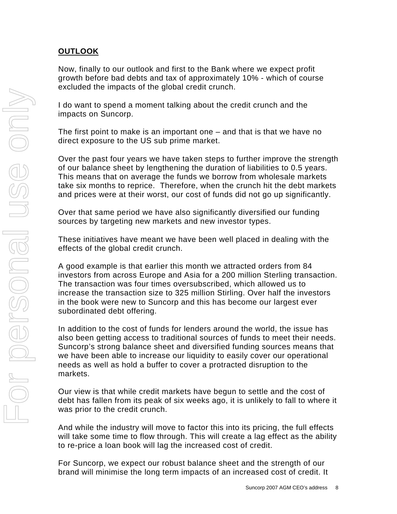# **OUTLOOK**

Now, finally to our outlook and first to the Bank where we expect profit growth before bad debts and tax of approximately 10% - which of course excluded the impacts of the global credit crunch.

I do want to spend a moment talking about the credit crunch and the impacts on Suncorp.

The first point to make is an important one – and that is that we have no direct exposure to the US sub prime market.

Over the past four years we have taken steps to further improve the strength of our balance sheet by lengthening the duration of liabilities to 0.5 years. This means that on average the funds we borrow from wholesale markets take six months to reprice. Therefore, when the crunch hit the debt markets and prices were at their worst, our cost of funds did not go up significantly.

Over that same period we have also significantly diversified our funding sources by targeting new markets and new investor types.

These initiatives have meant we have been well placed in dealing with the effects of the global credit crunch.

A good example is that earlier this month we attracted orders from 84 investors from across Europe and Asia for a 200 million Sterling transaction. The transaction was four times oversubscribed, which allowed us to increase the transaction size to 325 million Stirling. Over half the investors in the book were new to Suncorp and this has become our largest ever subordinated debt offering.

In addition to the cost of funds for lenders around the world, the issue has also been getting access to traditional sources of funds to meet their needs. Suncorp's strong balance sheet and diversified funding sources means that we have been able to increase our liquidity to easily cover our operational needs as well as hold a buffer to cover a protracted disruption to the markets.

Our view is that while credit markets have begun to settle and the cost of debt has fallen from its peak of six weeks ago, it is unlikely to fall to where it was prior to the credit crunch.

And while the industry will move to factor this into its pricing, the full effects will take some time to flow through. This will create a lag effect as the ability to re-price a loan book will lag the increased cost of credit.

For Suncorp, we expect our robust balance sheet and the strength of our brand will minimise the long term impacts of an increased cost of credit. It